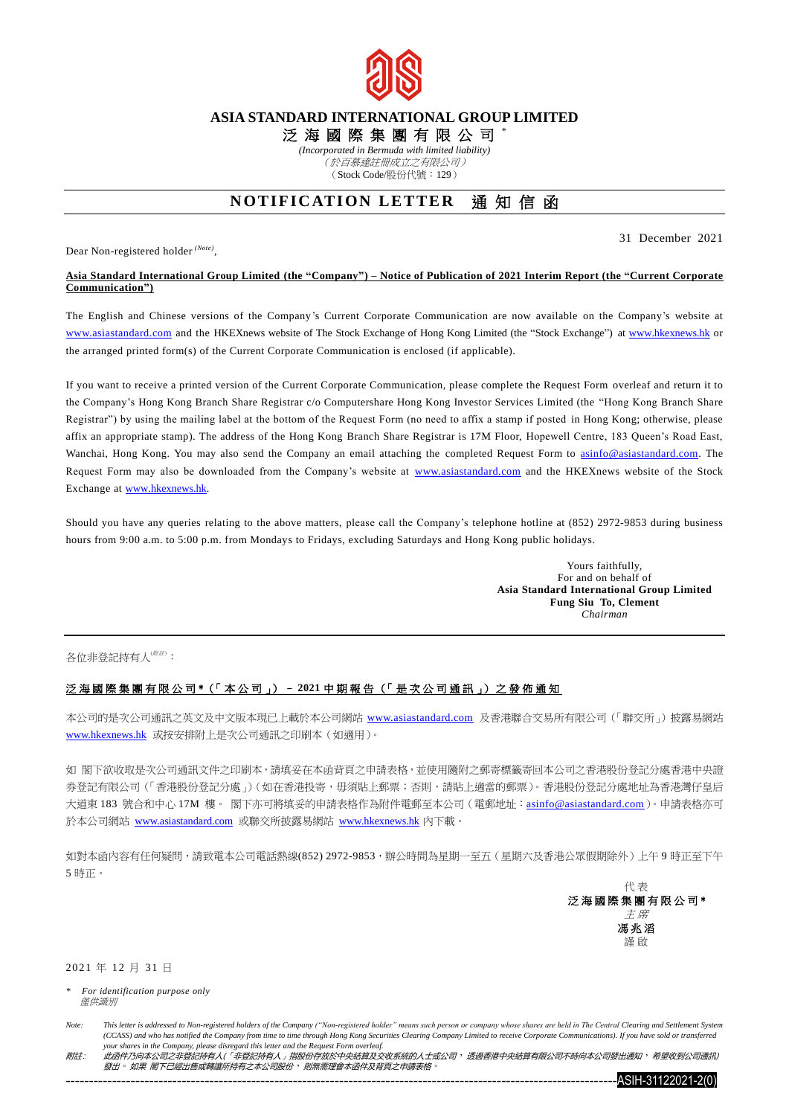

## **ASIA STANDARD INTERNATIONAL GROUP LIMITED**

泛 海 國 際 集 團 有 限 公 司 \*

*(Incorporated in Bermuda with limited liability)*

(於百慕達註冊成立之有限公司) (Stock Code/股份代號:129)

## **NOTIFICATION LETTER** 涌知信函

Dear Non-registered holder *(Note)* ,

31 December 2021

## **Asia Standard International Group Limited (the "Company") – Notice of Publication of 2021 Interim Report (the "Current Corporate Communication")**

The English and Chinese versions of the Company's Current Corporate Communication are now available on the Company's website at [www.asiastandard.com](http://www.asiastandard.com/) and the HKEXnews website of The Stock Exchange of Hong Kong Limited (the "Stock Exchange") a[t www.hkexnews.hk](http://www.hkexnews.hk/) or the arranged printed form(s) of the Current Corporate Communication is enclosed (if applicable).

If you want to receive a printed version of the Current Corporate Communication, please complete the Request Form overleaf and return it to the Company's Hong Kong Branch Share Registrar c/o Computershare Hong Kong Investor Services Limited (the "Hong Kong Branch Share Registrar") by using the mailing label at the bottom of the Request Form (no need to affix a stamp if posted in Hong Kong; otherwise, please affix an appropriate stamp). The address of the Hong Kong Branch Share Registrar is 17M Floor, Hopewell Centre, 183 Queen's Road East, Wanchai, Hong Kong. You may also send the Company an email attaching the completed Request Form to [asinfo@asiastandard.com.](mailto:asinfo@asiastandard.com) The Request Form may also be downloaded from the Company's website at [www.asiastandard.com](http://www.asiastandard.com/) and the HKEXnews website of the Stock Exchange at [www.hkexnews.hk.](http://www.hkexnews.hk/)

Should you have any queries relating to the above matters, please call the Company's telephone hotline at (852) 2972-9853 during business hours from 9:00 a.m. to 5:00 p.m. from Mondays to Fridays, excluding Saturdays and Hong Kong public holidays.

> Yours faithfully, For and on behalf of **Asia Standard International Group Limited Fung Siu To, Clement** *Chairman*

各位非登記持有人(##):

## 泛 海 國 際 集 團 有 限 公 司 \*(「 本 公 司 」) – **2021** 中 期 報 告 (「 是 次 公 司 通 訊 」) 之 發 佈 通 知

本公司的是次公司通訊之英文及中文版本現已上載於本公司網站 [www.asiastandard.com](http://www.asiastandard.com/) 及香港聯合交易所有限公司(「聯交所」)披露易網站 [www.hkexnews.hk](http://www.hkexnews.hk/index_c.htm) 或按安排附上是次公司通訊之印刷本(如適用)。

如 閣下欲收取是次公司通訊文件之印刷本,請填妥在本函背頁之申請表格,並使用隨附之郵寄標籤寄回本公司之香港股份登記分處香港中央證 券登記有限公司(「香港股份登記分處」)(如在香港投寄,毋須貼上郵票;否則,請貼上適當的郵票)。香港股份登記分處地址為香港灣仔皇后 大道東 183 號合和中心 17M 樓。 閣下亦可將填妥的申請表格作為附件電郵至本公司 (電郵地址: [asinfo@asiastandard.com](http://asinfo@asiastandard.com))。申請表格亦可 於本公司網站 [www.asiastandard.com](http://www.asiastandard.com/) 或聯交所披露易網站 [www.hkexnews.hk](http://www.hkexnews.hk/index_c.htm) 內下載。

如對本函內容有任何疑問,請致電本公司電話熱線(852) 2972-9853,辦公時間為星期一至五(星期六及香港公眾假期除外)上午9 時正至下午 5 時正。

> 代 表 泛海國際集團有限公司\* 主 席 馮 兆 滔 謹 啟

2021 年 12 月 31 日

*\* For identification purpose only* **僅**供讓別

Note: This letter is addressed to Non-registered holders of the Company ("Non-registered holder" means such person or company whose shares are held in The Central Clearing and Settlement System *(CCASS) and who has notified the Company from time to time through Hong Kong Securities Clearing Company Limited to receive Corporate Communications). If you have sold or transferred your shares in the Company, please disregard this letter and the Request Form overleaf.*

附註: 此函件乃向本公司之非登記持有人(「非登記持有人」指股份存放於中央結算及交收系統的人士或公司,透過香港中央結算有限公司不時向本公司發出通知,希望收到公司通訊) 發出。如果 閣下已經出售或轉讓所持有之本公司股份,則無需理會本函件及背頁之申請表格。